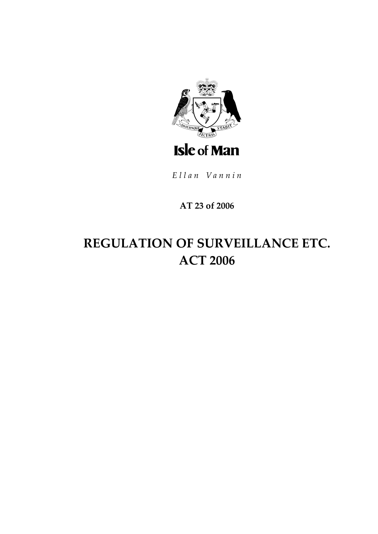

Ellan Vannin

### **AT 23 of 2006**

# **REGULATION OF SURVEILLANCE ETC. ACT 2006**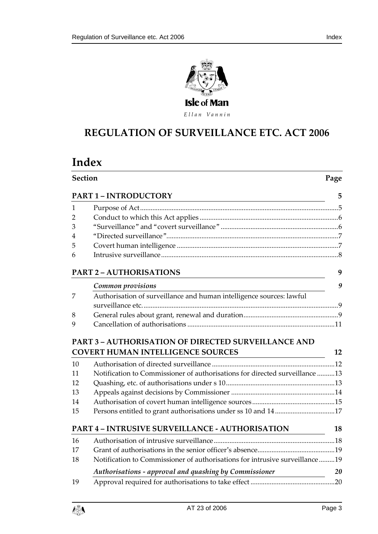

Ellan Vannin

## **REGULATION OF SURVEI LLANCE ETC. ACT 2006**

## **Index**

| <b>Section</b><br><b>PART 1 - INTRODUCTORY</b><br><u> 1980 - Johann Barn, mars ann an t-Amhain ann an t-Amhain an t-Amhain an t-Amhain an t-Amhain ann an t-Amhain</u> |                                                                                     | Page<br>5 |
|------------------------------------------------------------------------------------------------------------------------------------------------------------------------|-------------------------------------------------------------------------------------|-----------|
|                                                                                                                                                                        |                                                                                     |           |
| $\overline{2}$                                                                                                                                                         |                                                                                     |           |
| 3                                                                                                                                                                      |                                                                                     |           |
| 4                                                                                                                                                                      |                                                                                     |           |
| 5                                                                                                                                                                      |                                                                                     |           |
| 6                                                                                                                                                                      |                                                                                     |           |
|                                                                                                                                                                        | <b>PART 2 - AUTHORISATIONS</b>                                                      | 9         |
|                                                                                                                                                                        | Common provisions                                                                   | 9         |
| 7                                                                                                                                                                      | Authorisation of surveillance and human intelligence sources: lawful                |           |
|                                                                                                                                                                        |                                                                                     |           |
| 8                                                                                                                                                                      |                                                                                     |           |
| 9                                                                                                                                                                      |                                                                                     |           |
|                                                                                                                                                                        | <b>PART 3 - AUTHORISATION OF DIRECTED SURVEILLANCE AND</b>                          |           |
|                                                                                                                                                                        | <b>COVERT HUMAN INTELLIGENCE SOURCES</b><br><u> 1990 - Johann Barbara, martxa a</u> | 12        |
| 10                                                                                                                                                                     |                                                                                     |           |
| 11                                                                                                                                                                     | Notification to Commissioner of authorisations for directed surveillance 13         |           |
| 12                                                                                                                                                                     |                                                                                     |           |
| 13                                                                                                                                                                     |                                                                                     |           |
| 14                                                                                                                                                                     |                                                                                     |           |
| 15                                                                                                                                                                     | Persons entitled to grant authorisations under ss 10 and 1417                       |           |
|                                                                                                                                                                        | <b>PART 4 - INTRUSIVE SURVEILLANCE - AUTHORISATION</b>                              | 18        |
| 16                                                                                                                                                                     |                                                                                     |           |
| 17                                                                                                                                                                     |                                                                                     |           |
| 18                                                                                                                                                                     | Notification to Commissioner of authorisations for intrusive surveillance19         |           |
|                                                                                                                                                                        | Authorisations - approval and quashing by Commissioner                              | 20        |
| 19                                                                                                                                                                     |                                                                                     |           |

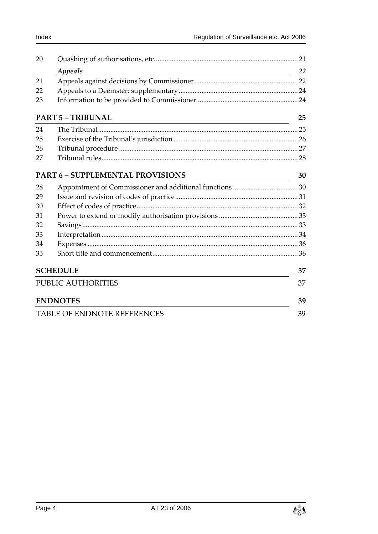| 20                        |                                         |    |  |
|---------------------------|-----------------------------------------|----|--|
|                           | Appeals                                 | 22 |  |
| 21                        |                                         |    |  |
| 22                        |                                         |    |  |
| 23                        |                                         |    |  |
|                           | <b>PART 5 - TRIBUNAL</b>                | 25 |  |
| 24                        |                                         |    |  |
| 25                        |                                         |    |  |
| 26                        |                                         |    |  |
| 27                        |                                         |    |  |
|                           | <b>PART 6 - SUPPLEMENTAL PROVISIONS</b> | 30 |  |
| 28                        |                                         |    |  |
| 29                        |                                         |    |  |
| 30                        |                                         |    |  |
| 31                        |                                         |    |  |
| 32                        |                                         |    |  |
| 33                        |                                         |    |  |
| 34                        |                                         |    |  |
| 35                        |                                         |    |  |
|                           | <b>SCHEDULE</b>                         | 37 |  |
| <b>PUBLIC AUTHORITIES</b> |                                         | 37 |  |
| <b>ENDNOTES</b>           |                                         | 39 |  |
|                           | <b>TABLE OF ENDNOTE REFERENCES</b>      |    |  |

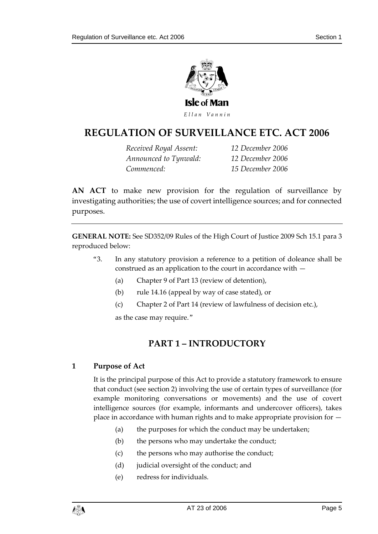

Ellan Vannin

## **REGULATION OF SURVEI LLANCE ETC. ACT 2006**

*Received Royal Assent: 12 December 2006 Announced to Tynwald: 12 December 2006 Commenced: 15 December 2006*

**AN ACT** to make new provision for the regulation of surveillance by investigating authorities; the use of covert intelligence sources; and for connected purposes.

**GENERAL NOTE:** See SD352/09 Rules of the High Court of Justice 2009 Sch 15.1 para 3 reproduced below:

- "3. In any statutory provision a reference to a petition of doleance shall be construed as an application to the court in accordance with —
	- (a) Chapter 9 of Part 13 (review of detention),
	- (b) rule 14.16 (appeal by way of case stated), or
	- (c) Chapter 2 of Part 14 (review of lawfulness of decision etc.),

as the case may require."

### **PART 1 – INTRODUCTORY**

### <span id="page-4-1"></span><span id="page-4-0"></span>**1 Purpose of Act**

It is the principal purpose of this Act to provide a statutory framework to ensure that conduct (see section 2) involving the use of certain types of surveillance (for example monitoring conversations or movements) and the use of covert intelligence sources (for example, informants and undercover officers), takes place in accordance with human rights and to make appropriate provision for —

- (a) the purposes for which the conduct may be undertaken;
- (b) the persons who may undertake the conduct;
- (c) the persons who may authorise the conduct;
- (d) judicial oversight of the conduct; and
- (e) redress for individuals.

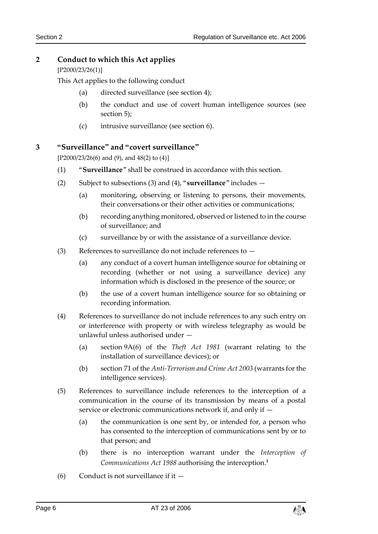### <span id="page-5-0"></span>**2 Conduct to which this Act applies**

[P2000/23/26(1)]

This Act applies to the following conduct

- (a) directed surveillance (see section 4);
- (b) the conduct and use of covert human intelligence sources (see section 5);
- (c) intrusive surveillance (see section 6).

### <span id="page-5-1"></span>**3 "Surveillance" and "covert surveillance"**

[P2000/23/26(6) and (9), and 48(2) to (4)]

- (1) "**Surveillance**" shall be construed in accordance with this section.
- (2) Subject to subsections (3) and (4), "**surveillance**" includes
	- (a) monitoring, observing or listening to persons, their movements, their conversations or their other activities or communications;
	- (b) recording anything monitored, observed or listened to in the course of surveillance; and
	- (c) surveillance by or with the assistance of a surveillance device.
- (3) References to surveillance do not include references to
	- (a) any conduct of a covert human intelligence source for obtaining or recording (whether or not using a surveillance device) any information which is disclosed in the presence of the source; or
	- (b) the use of a covert human intelligence source for so obtaining or recording information.
- (4) References to surveillance do not include references to any such entry on or interference with property or with wireless telegraphy as would be unlawful unless authorised under —
	- (a) section 9A(6) of the *Theft Act 1981* (warrant relating to the installation of surveillance devices); or
	- (b) section 71 of the *Anti-Terrorism and Crime Act 2003* (warrants for the intelligence services).
- (5) References to surveillance include references to the interception of a communication in the course of its transmission by means of a postal service or electronic communications network if, and only if —
	- (a) the communication is one sent by, or intended for, a person who has consented to the interception of communications sent by or to that person; and
	- (b) there is no interception warrant under the *Interception of Communications Act 1988* authorising the interception.**<sup>1</sup>**
- (6) Conduct is not surveillance if it  $-$

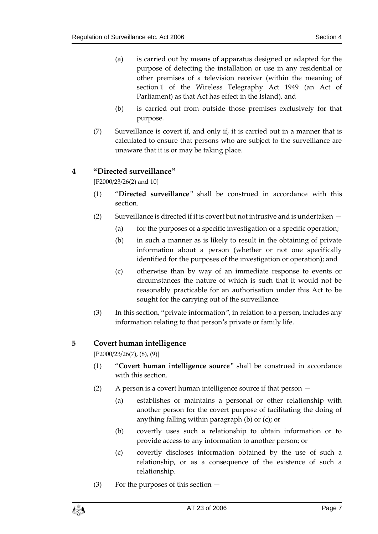- (a) is carried out by means of apparatus designed or adapted for the purpose of detecting the installation or use in any residential or other premises of a television receiver (within the meaning of section 1 of the Wireless Telegraphy Act 1949 (an Act of Parliament) as that Act has effect in the Island), and
- (b) is carried out from outside those premises exclusively for that purpose.
- (7) Surveillance is covert if, and only if, it is carried out in a manner that is calculated to ensure that persons who are subject to the surveillance are unaware that it is or may be taking place.

### <span id="page-6-0"></span>**4 "Directed surveillance"**

[P2000/23/26(2) and 10]

- (1) "**Directed surveillance**" shall be construed in accordance with this section.
- (2) Surveillance is directed if it is covert but not intrusive and is undertaken
	- (a) for the purposes of a specific investigation or a specific operation;
	- (b) in such a manner as is likely to result in the obtaining of private information about a person (whether or not one specifically identified for the purposes of the investigation or operation); and
	- (c) otherwise than by way of an immediate response to events or circumstances the nature of which is such that it would not be reasonably practicable for an authorisation under this Act to be sought for the carrying out of the surveillance.
- (3) In this section, "private information", in relation to a person, includes any information relating to that person's private or family life.

### <span id="page-6-1"></span>**5 Covert human intelligence**

 $[P2000/23/26(7), (8), (9)]$ 

- (1) "**Covert human intelligence source**" shall be construed in accordance with this section.
- (2) A person is a covert human intelligence source if that person  $-$ 
	- (a) establishes or maintains a personal or other relationship with another person for the covert purpose of facilitating the doing of anything falling within paragraph (b) or (c); or
	- (b) covertly uses such a relationship to obtain information or to provide access to any information to another person; or
	- (c) covertly discloses information obtained by the use of such a relationship, or as a consequence of the existence of such a relationship.
- (3) For the purposes of this section —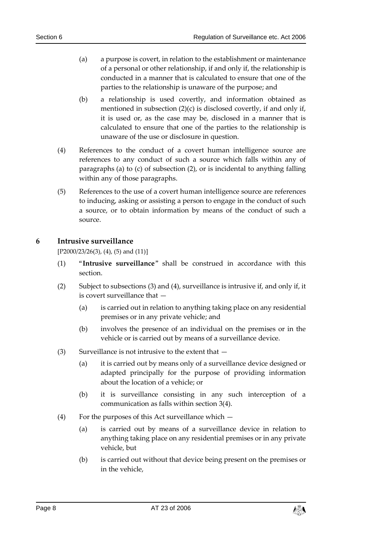- (a) a purpose is covert, in relation to the establishment or maintenance of a personal or other relationship, if and only if, the relationship is conducted in a manner that is calculated to ensure that one of the parties to the relationship is unaware of the purpose; and
- (b) a relationship is used covertly, and information obtained as mentioned in subsection (2)(c) is disclosed covertly, if and only if, it is used or, as the case may be, disclosed in a manner that is calculated to ensure that one of the parties to the relationship is unaware of the use or disclosure in question.
- (4) References to the conduct of a covert human intelligence source are references to any conduct of such a source which falls within any of paragraphs (a) to (c) of subsection (2), or is incidental to anything falling within any of those paragraphs.
- (5) References to the use of a covert human intelligence source are references to inducing, asking or assisting a person to engage in the conduct of such a source, or to obtain information by means of the conduct of such a source.

### <span id="page-7-0"></span>**6 Intrusive surveillance**

[P2000/23/26(3), (4), (5) and (11)]

- (1) "**Intrusive surveillance**" shall be construed in accordance with this section.
- (2) Subject to subsections (3) and (4), surveillance is intrusive if, and only if, it is covert surveillance that —
	- (a) is carried out in relation to anything taking place on any residential premises or in any private vehicle; and
	- (b) involves the presence of an individual on the premises or in the vehicle or is carried out by means of a surveillance device.
- (3) Surveillance is not intrusive to the extent that
	- (a) it is carried out by means only of a surveillance device designed or adapted principally for the purpose of providing information about the location of a vehicle; or
	- (b) it is surveillance consisting in any such interception of a communication as falls within section 3(4).
- (4) For the purposes of this Act surveillance which
	- (a) is carried out by means of a surveillance device in relation to anything taking place on any residential premises or in any private vehicle, but
	- (b) is carried out without that device being present on the premises or in the vehicle,

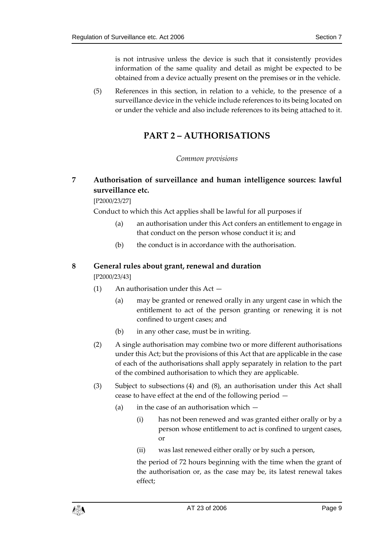is not intrusive unless the device is such that it consistently provides information of the same quality and detail as might be expected to be obtained from a device actually present on the premises or in the vehicle.

<span id="page-8-0"></span>(5) References in this section, in relation to a vehicle, to the presence of a surveillance device in the vehicle include references to its being located on or under the vehicle and also include references to its being attached to it.

### **PART 2 – AUTHORISATIONS**

### *Common provisions*

### <span id="page-8-2"></span><span id="page-8-1"></span>**7 Authorisation of surveillance and human intelligence sources: lawful surveillance etc.**

#### [P2000/23/27]

Conduct to which this Act applies shall be lawful for all purposes if

- (a) an authorisation under this Act confers an entitlement to engage in that conduct on the person whose conduct it is; and
- (b) the conduct is in accordance with the authorisation.

#### <span id="page-8-3"></span>**8 General rules about grant, renewal and duration** [P2000/23/43]

- (1) An authorisation under this Act
	- (a) may be granted or renewed orally in any urgent case in which the entitlement to act of the person granting or renewing it is not confined to urgent cases; and
	- (b) in any other case, must be in writing.
- (2) A single authorisation may combine two or more different authorisations under this Act; but the provisions of this Act that are applicable in the case of each of the authorisations shall apply separately in relation to the part of the combined authorisation to which they are applicable.
- (3) Subject to subsections (4) and (8), an authorisation under this Act shall cease to have effect at the end of the following period —
	- (a) in the case of an authorisation which
		- (i) has not been renewed and was granted either orally or by a person whose entitlement to act is confined to urgent cases, or
		- (ii) was last renewed either orally or by such a person,

the period of 72 hours beginning with the time when the grant of the authorisation or, as the case may be, its latest renewal takes effect;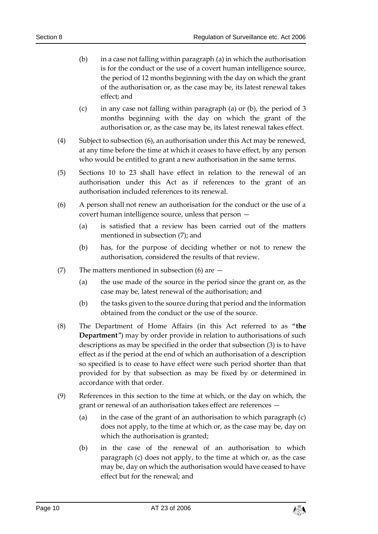- (b) in a case not falling within paragraph (a) in which the authorisation is for the conduct or the use of a covert human intelligence source, the period of 12 months beginning with the day on which the grant of the authorisation or, as the case may be, its latest renewal takes effect; and
- (c) in any case not falling within paragraph (a) or (b), the period of 3 months beginning with the day on which the grant of the authorisation or, as the case may be, its latest renewal takes effect.
- (4) Subject to subsection (6), an authorisation under this Act may be renewed, at any time before the time at which it ceases to have effect, by any person who would be entitled to grant a new authorisation in the same terms.
- (5) Sections 10 to 23 shall have effect in relation to the renewal of an authorisation under this Act as if references to the grant of an authorisation included references to its renewal.
- (6) A person shall not renew an authorisation for the conduct or the use of a covert human intelligence source, unless that person —
	- (a) is satisfied that a review has been carried out of the matters mentioned in subsection (7); and
	- (b) has, for the purpose of deciding whether or not to renew the authorisation, considered the results of that review.
- (7) The matters mentioned in subsection (6) are
	- (a) the use made of the source in the period since the grant or, as the case may be, latest renewal of the authorisation; and
	- (b) the tasks given to the source during that period and the information obtained from the conduct or the use of the source.
- (8) The Department of Home Affairs (in this Act referred to as "**the Department**") may by order provide in relation to authorisations of such descriptions as may be specified in the order that subsection (3) is to have effect as if the period at the end of which an authorisation of a description so specified is to cease to have effect were such period shorter than that provided for by that subsection as may be fixed by or determined in accordance with that order.
- (9) References in this section to the time at which, or the day on which, the grant or renewal of an authorisation takes effect are references —
	- (a) in the case of the grant of an authorisation to which paragraph (c) does not apply, to the time at which or, as the case may be, day on which the authorisation is granted;
	- (b) in the case of the renewal of an authorisation to which paragraph (c) does not apply, to the time at which or, as the case may be, day on which the authorisation would have ceased to have effect but for the renewal; and

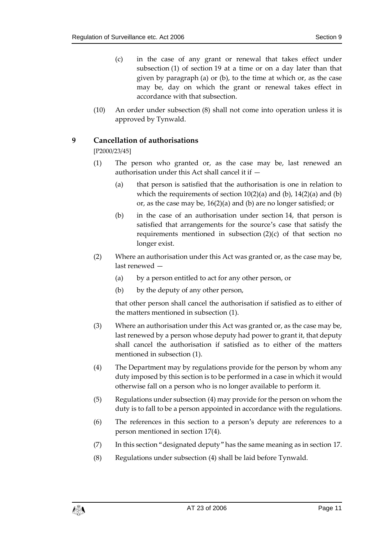- (c) in the case of any grant or renewal that takes effect under subsection (1) of section 19 at a time or on a day later than that given by paragraph (a) or (b), to the time at which or, as the case may be, day on which the grant or renewal takes effect in accordance with that subsection.
- (10) An order under subsection (8) shall not come into operation unless it is approved by Tynwald.

### <span id="page-10-0"></span>**9 Cancellation of authorisations**

[P2000/23/45]

- (1) The person who granted or, as the case may be, last renewed an authorisation under this Act shall cancel it if —
	- (a) that person is satisfied that the authorisation is one in relation to which the requirements of section  $10(2)(a)$  and  $(b)$ ,  $14(2)(a)$  and  $(b)$ or, as the case may be, 16(2)(a) and (b) are no longer satisfied; or
	- (b) in the case of an authorisation under section 14, that person is satisfied that arrangements for the source's case that satisfy the requirements mentioned in subsection (2)(c) of that section no longer exist.
- (2) Where an authorisation under this Act was granted or, as the case may be, last renewed —
	- (a) by a person entitled to act for any other person, or
	- (b) by the deputy of any other person,

that other person shall cancel the authorisation if satisfied as to either of the matters mentioned in subsection (1).

- (3) Where an authorisation under this Act was granted or, as the case may be, last renewed by a person whose deputy had power to grant it, that deputy shall cancel the authorisation if satisfied as to either of the matters mentioned in subsection (1).
- (4) The Department may by regulations provide for the person by whom any duty imposed by this section is to be performed in a case in which it would otherwise fall on a person who is no longer available to perform it.
- (5) Regulations under subsection (4) may provide for the person on whom the duty is to fall to be a person appointed in accordance with the regulations.
- (6) The references in this section to a person's deputy are references to a person mentioned in section 17(4).
- (7) In this section "designated deputy" has the same meaning as in section 17.
- (8) Regulations under subsection (4) shall be laid before Tynwald.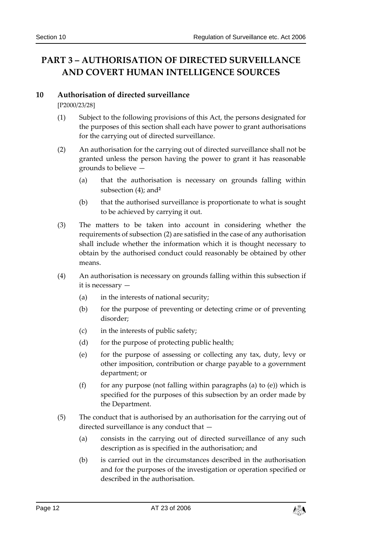### <span id="page-11-0"></span>**PART 3 – AUTHORISATION OF DIRECTED SURVEILLANCE AND COVERT HUMAN INTELLIGENCE SOURCES**

#### <span id="page-11-1"></span>**10 Authorisation of directed surveillance**

#### [P2000/23/28]

- (1) Subject to the following provisions of this Act, the persons designated for the purposes of this section shall each have power to grant authorisations for the carrying out of directed surveillance.
- (2) An authorisation for the carrying out of directed surveillance shall not be granted unless the person having the power to grant it has reasonable grounds to believe —
	- (a) that the authorisation is necessary on grounds falling within subsection (4); and**<sup>2</sup>**
	- (b) that the authorised surveillance is proportionate to what is sought to be achieved by carrying it out.
- (3) The matters to be taken into account in considering whether the requirements of subsection (2) are satisfied in the case of any authorisation shall include whether the information which it is thought necessary to obtain by the authorised conduct could reasonably be obtained by other means.
- (4) An authorisation is necessary on grounds falling within this subsection if it is necessary —
	- (a) in the interests of national security;
	- (b) for the purpose of preventing or detecting crime or of preventing disorder;
	- (c) in the interests of public safety;
	- (d) for the purpose of protecting public health;
	- (e) for the purpose of assessing or collecting any tax, duty, levy or other imposition, contribution or charge payable to a government department; or
	- (f) for any purpose (not falling within paragraphs (a) to (e)) which is specified for the purposes of this subsection by an order made by the Department.
- (5) The conduct that is authorised by an authorisation for the carrying out of directed surveillance is any conduct that —
	- (a) consists in the carrying out of directed surveillance of any such description as is specified in the authorisation; and
	- (b) is carried out in the circumstances described in the authorisation and for the purposes of the investigation or operation specified or described in the authorisation.

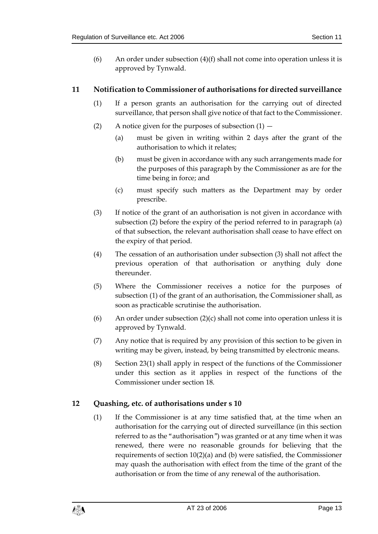(6) An order under subsection  $(4)(f)$  shall not come into operation unless it is approved by Tynwald.

### <span id="page-12-0"></span>**11 Notification to Commissioner of authorisations for directed surveillance**

- (1) If a person grants an authorisation for the carrying out of directed surveillance, that person shall give notice of that fact to the Commissioner.
- (2) A notice given for the purposes of subsection  $(1)$ 
	- (a) must be given in writing within 2 days after the grant of the authorisation to which it relates;
	- (b) must be given in accordance with any such arrangements made for the purposes of this paragraph by the Commissioner as are for the time being in force; and
	- (c) must specify such matters as the Department may by order prescribe.
- (3) If notice of the grant of an authorisation is not given in accordance with subsection (2) before the expiry of the period referred to in paragraph (a) of that subsection, the relevant authorisation shall cease to have effect on the expiry of that period.
- (4) The cessation of an authorisation under subsection (3) shall not affect the previous operation of that authorisation or anything duly done thereunder.
- (5) Where the Commissioner receives a notice for the purposes of subsection (1) of the grant of an authorisation, the Commissioner shall, as soon as practicable scrutinise the authorisation.
- (6) An order under subsection  $(2)(c)$  shall not come into operation unless it is approved by Tynwald.
- (7) Any notice that is required by any provision of this section to be given in writing may be given, instead, by being transmitted by electronic means.
- (8) Section 23(1) shall apply in respect of the functions of the Commissioner under this section as it applies in respect of the functions of the Commissioner under section 18.

### <span id="page-12-1"></span>**12 Quashing, etc. of authorisations under s 10**

(1) If the Commissioner is at any time satisfied that, at the time when an authorisation for the carrying out of directed surveillance (in this section referred to as the "authorisation") was granted or at any time when it was renewed, there were no reasonable grounds for believing that the requirements of section 10(2)(a) and (b) were satisfied, the Commissioner may quash the authorisation with effect from the time of the grant of the authorisation or from the time of any renewal of the authorisation.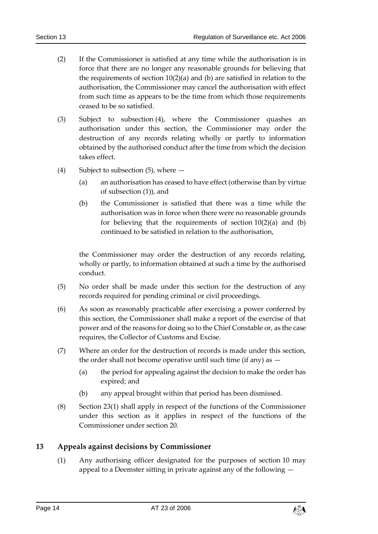- (2) If the Commissioner is satisfied at any time while the authorisation is in force that there are no longer any reasonable grounds for believing that the requirements of section 10(2)(a) and (b) are satisfied in relation to the authorisation, the Commissioner may cancel the authorisation with effect from such time as appears to be the time from which those requirements ceased to be so satisfied.
- (3) Subject to subsection (4), where the Commissioner quashes an authorisation under this section, the Commissioner may order the destruction of any records relating wholly or partly to information obtained by the authorised conduct after the time from which the decision takes effect.
- (4) Subject to subsection (5), where
	- (a) an authorisation has ceased to have effect (otherwise than by virtue of subsection (1)), and
	- (b) the Commissioner is satisfied that there was a time while the authorisation was in force when there were no reasonable grounds for believing that the requirements of section 10(2)(a) and (b) continued to be satisfied in relation to the authorisation,

the Commissioner may order the destruction of any records relating, wholly or partly, to information obtained at such a time by the authorised conduct.

- (5) No order shall be made under this section for the destruction of any records required for pending criminal or civil proceedings.
- (6) As soon as reasonably practicable after exercising a power conferred by this section, the Commissioner shall make a report of the exercise of that power and of the reasons for doing so to the Chief Constable or, as the case requires, the Collector of Customs and Excise.
- (7) Where an order for the destruction of records is made under this section, the order shall not become operative until such time (if any) as  $-$ 
	- (a) the period for appealing against the decision to make the order has expired; and
	- (b) any appeal brought within that period has been dismissed.
- (8) Section 23(1) shall apply in respect of the functions of the Commissioner under this section as it applies in respect of the functions of the Commissioner under section 20.

### <span id="page-13-0"></span>**13 Appeals against decisions by Commissioner**

(1) Any authorising officer designated for the purposes of section 10 may appeal to a Deemster sitting in private against any of the following —

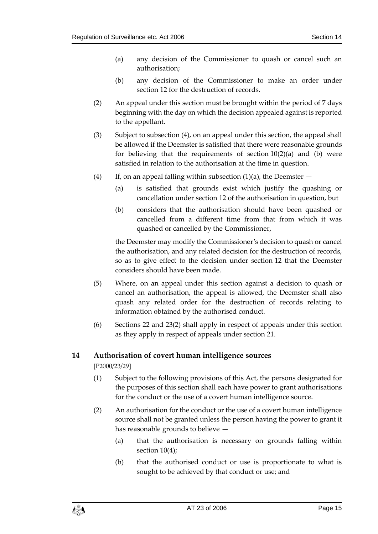- (a) any decision of the Commissioner to quash or cancel such an authorisation;
- (b) any decision of the Commissioner to make an order under section 12 for the destruction of records.
- (2) An appeal under this section must be brought within the period of 7 days beginning with the day on which the decision appealed against is reported to the appellant.
- (3) Subject to subsection (4), on an appeal under this section, the appeal shall be allowed if the Deemster is satisfied that there were reasonable grounds for believing that the requirements of section  $10(2)(a)$  and (b) were satisfied in relation to the authorisation at the time in question.
- (4) If, on an appeal falling within subsection (1)(a), the Deemster  $-$ 
	- (a) is satisfied that grounds exist which justify the quashing or cancellation under section 12 of the authorisation in question, but
	- (b) considers that the authorisation should have been quashed or cancelled from a different time from that from which it was quashed or cancelled by the Commissioner,

the Deemster may modify the Commissioner's decision to quash or cancel the authorisation, and any related decision for the destruction of records, so as to give effect to the decision under section 12 that the Deemster considers should have been made.

- (5) Where, on an appeal under this section against a decision to quash or cancel an authorisation, the appeal is allowed, the Deemster shall also quash any related order for the destruction of records relating to information obtained by the authorised conduct.
- (6) Sections 22 and 23(2) shall apply in respect of appeals under this section as they apply in respect of appeals under section 21.

### <span id="page-14-0"></span>**14 Authorisation of covert human intelligence sources**

[P2000/23/29]

- (1) Subject to the following provisions of this Act, the persons designated for the purposes of this section shall each have power to grant authorisations for the conduct or the use of a covert human intelligence source.
- (2) An authorisation for the conduct or the use of a covert human intelligence source shall not be granted unless the person having the power to grant it has reasonable grounds to believe —
	- (a) that the authorisation is necessary on grounds falling within section 10(4);
	- (b) that the authorised conduct or use is proportionate to what is sought to be achieved by that conduct or use; and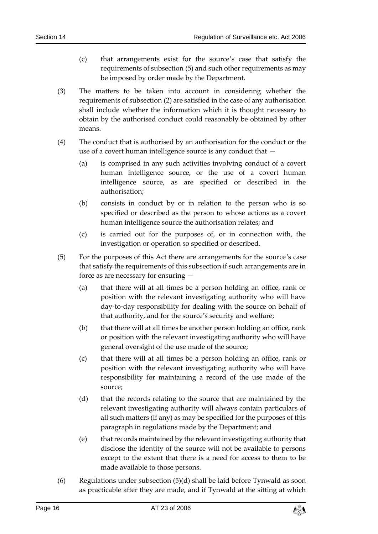- (c) that arrangements exist for the source's case that satisfy the requirements of subsection (5) and such other requirements as may be imposed by order made by the Department.
- (3) The matters to be taken into account in considering whether the requirements of subsection (2) are satisfied in the case of any authorisation shall include whether the information which it is thought necessary to obtain by the authorised conduct could reasonably be obtained by other means.
- (4) The conduct that is authorised by an authorisation for the conduct or the use of a covert human intelligence source is any conduct that —
	- (a) is comprised in any such activities involving conduct of a covert human intelligence source, or the use of a covert human intelligence source, as are specified or described in the authorisation;
	- (b) consists in conduct by or in relation to the person who is so specified or described as the person to whose actions as a covert human intelligence source the authorisation relates; and
	- (c) is carried out for the purposes of, or in connection with, the investigation or operation so specified or described.
- (5) For the purposes of this Act there are arrangements for the source's case that satisfy the requirements of this subsection if such arrangements are in force as are necessary for ensuring —
	- (a) that there will at all times be a person holding an office, rank or position with the relevant investigating authority who will have day-to-day responsibility for dealing with the source on behalf of that authority, and for the source's security and welfare;
	- (b) that there will at all times be another person holding an office, rank or position with the relevant investigating authority who will have general oversight of the use made of the source;
	- (c) that there will at all times be a person holding an office, rank or position with the relevant investigating authority who will have responsibility for maintaining a record of the use made of the source;
	- (d) that the records relating to the source that are maintained by the relevant investigating authority will always contain particulars of all such matters (if any) as may be specified for the purposes of this paragraph in regulations made by the Department; and
	- (e) that records maintained by the relevant investigating authority that disclose the identity of the source will not be available to persons except to the extent that there is a need for access to them to be made available to those persons.
- (6) Regulations under subsection  $(5)(d)$  shall be laid before Tynwald as soon as practicable after they are made, and if Tynwald at the sitting at which

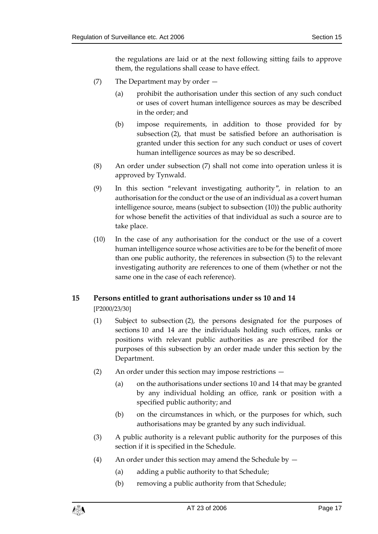the regulations are laid or at the next following sitting fails to approve them, the regulations shall cease to have effect.

- (7) The Department may by order
	- (a) prohibit the authorisation under this section of any such conduct or uses of covert human intelligence sources as may be described in the order; and
	- (b) impose requirements, in addition to those provided for by subsection (2), that must be satisfied before an authorisation is granted under this section for any such conduct or uses of covert human intelligence sources as may be so described.
- (8) An order under subsection (7) shall not come into operation unless it is approved by Tynwald.
- (9) In this section "relevant investigating authority", in relation to an authorisation for the conduct or the use of an individual as a covert human intelligence source, means (subject to subsection (10)) the public authority for whose benefit the activities of that individual as such a source are to take place.
- (10) In the case of any authorisation for the conduct or the use of a covert human intelligence source whose activities are to be for the benefit of more than one public authority, the references in subsection (5) to the relevant investigating authority are references to one of them (whether or not the same one in the case of each reference).

### <span id="page-16-0"></span>**15 Persons entitled to grant authorisations under ss 10 and 14**

[P2000/23/30]

- (1) Subject to subsection (2), the persons designated for the purposes of sections 10 and 14 are the individuals holding such offices, ranks or positions with relevant public authorities as are prescribed for the purposes of this subsection by an order made under this section by the Department.
- (2) An order under this section may impose restrictions
	- (a) on the authorisations under sections 10 and 14 that may be granted by any individual holding an office, rank or position with a specified public authority; and
	- (b) on the circumstances in which, or the purposes for which, such authorisations may be granted by any such individual.
- (3) A public authority is a relevant public authority for the purposes of this section if it is specified in the Schedule.
- (4) An order under this section may amend the Schedule by
	- (a) adding a public authority to that Schedule;
	- (b) removing a public authority from that Schedule;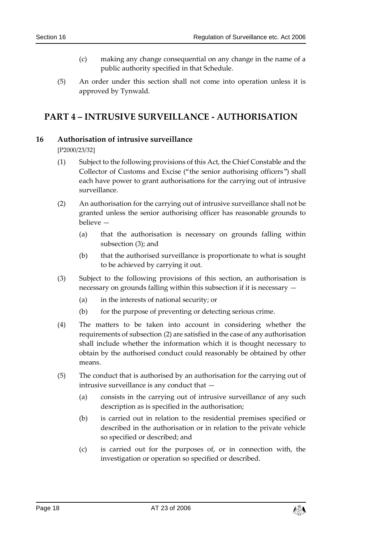- (c) making any change consequential on any change in the name of a public authority specified in that Schedule.
- (5) An order under this section shall not come into operation unless it is approved by Tynwald.

### <span id="page-17-0"></span>**PART 4 – INTRUSIVE SURVEILLANCE - AUTHORISATION**

### <span id="page-17-1"></span>**16 Authorisation of intrusive surveillance**

[P2000/23/32]

- (1) Subject to the following provisions of this Act, the Chief Constable and the Collector of Customs and Excise ("the senior authorising officers") shall each have power to grant authorisations for the carrying out of intrusive surveillance.
- (2) An authorisation for the carrying out of intrusive surveillance shall not be granted unless the senior authorising officer has reasonable grounds to believe —
	- (a) that the authorisation is necessary on grounds falling within subsection (3); and
	- (b) that the authorised surveillance is proportionate to what is sought to be achieved by carrying it out.
- (3) Subject to the following provisions of this section, an authorisation is necessary on grounds falling within this subsection if it is necessary —
	- (a) in the interests of national security; or
	- (b) for the purpose of preventing or detecting serious crime.
- (4) The matters to be taken into account in considering whether the requirements of subsection (2) are satisfied in the case of any authorisation shall include whether the information which it is thought necessary to obtain by the authorised conduct could reasonably be obtained by other means.
- (5) The conduct that is authorised by an authorisation for the carrying out of intrusive surveillance is any conduct that —
	- (a) consists in the carrying out of intrusive surveillance of any such description as is specified in the authorisation;
	- (b) is carried out in relation to the residential premises specified or described in the authorisation or in relation to the private vehicle so specified or described; and
	- (c) is carried out for the purposes of, or in connection with, the investigation or operation so specified or described.

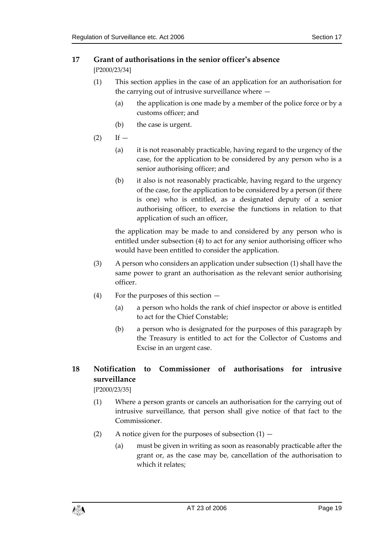### <span id="page-18-0"></span>**17 Grant of authorisations in the senior officer's absence**

[P2000/23/34]

- (1) This section applies in the case of an application for an authorisation for the carrying out of intrusive surveillance where -
	- (a) the application is one made by a member of the police force or by a customs officer; and
	- (b) the case is urgent.
- $(2)$  If  $-$ 
	- (a) it is not reasonably practicable, having regard to the urgency of the case, for the application to be considered by any person who is a senior authorising officer; and
	- (b) it also is not reasonably practicable, having regard to the urgency of the case, for the application to be considered by a person (if there is one) who is entitled, as a designated deputy of a senior authorising officer, to exercise the functions in relation to that application of such an officer,

the application may be made to and considered by any person who is entitled under subsection (4) to act for any senior authorising officer who would have been entitled to consider the application.

- (3) A person who considers an application under subsection (1) shall have the same power to grant an authorisation as the relevant senior authorising officer.
- (4) For the purposes of this section
	- (a) a person who holds the rank of chief inspector or above is entitled to act for the Chief Constable;
	- (b) a person who is designated for the purposes of this paragraph by the Treasury is entitled to act for the Collector of Customs and Excise in an urgent case.

### <span id="page-18-1"></span>**18 Notification to Commissioner of authorisations for intrusive surveillance**

[P2000/23/35]

- (1) Where a person grants or cancels an authorisation for the carrying out of intrusive surveillance, that person shall give notice of that fact to the Commissioner.
- (2) A notice given for the purposes of subsection  $(1)$ 
	- (a) must be given in writing as soon as reasonably practicable after the grant or, as the case may be, cancellation of the authorisation to which it relates;

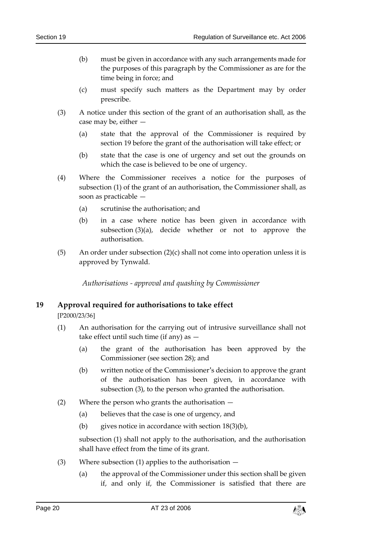- (b) must be given in accordance with any such arrangements made for the purposes of this paragraph by the Commissioner as are for the time being in force; and
- (c) must specify such matters as the Department may by order prescribe.
- (3) A notice under this section of the grant of an authorisation shall, as the case may be, either —
	- (a) state that the approval of the Commissioner is required by section 19 before the grant of the authorisation will take effect; or
	- (b) state that the case is one of urgency and set out the grounds on which the case is believed to be one of urgency.
- (4) Where the Commissioner receives a notice for the purposes of subsection (1) of the grant of an authorisation, the Commissioner shall, as soon as practicable —
	- (a) scrutinise the authorisation; and
	- (b) in a case where notice has been given in accordance with subsection (3)(a), decide whether or not to approve the authorisation.
- <span id="page-19-0"></span>(5) An order under subsection  $(2)(c)$  shall not come into operation unless it is approved by Tynwald.

*Authorisations - approval and quashing by Commissioner*

### <span id="page-19-1"></span>**19 Approval required for authorisations to take effect**

[P2000/23/36]

- (1) An authorisation for the carrying out of intrusive surveillance shall not take effect until such time (if any) as —
	- (a) the grant of the authorisation has been approved by the Commissioner (see section 28); and
	- (b) written notice of the Commissioner's decision to approve the grant of the authorisation has been given, in accordance with subsection (3), to the person who granted the authorisation.
- (2) Where the person who grants the authorisation
	- (a) believes that the case is one of urgency, and
	- (b) gives notice in accordance with section 18(3)(b),

subsection (1) shall not apply to the authorisation, and the authorisation shall have effect from the time of its grant.

- (3) Where subsection (1) applies to the authorisation  $-$ 
	- (a) the approval of the Commissioner under this section shall be given if, and only if, the Commissioner is satisfied that there are

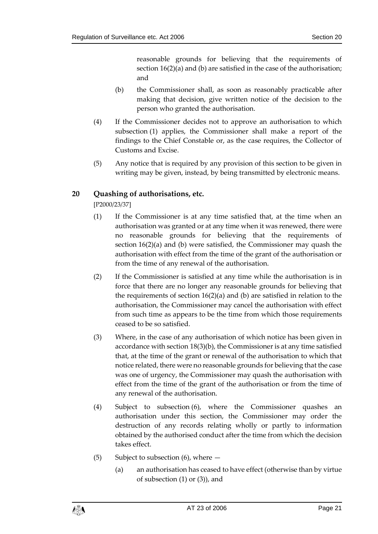reasonable grounds for believing that the requirements of section 16(2)(a) and (b) are satisfied in the case of the authorisation; and

- (b) the Commissioner shall, as soon as reasonably practicable after making that decision, give written notice of the decision to the person who granted the authorisation.
- (4) If the Commissioner decides not to approve an authorisation to which subsection (1) applies, the Commissioner shall make a report of the findings to the Chief Constable or, as the case requires, the Collector of Customs and Excise.
- (5) Any notice that is required by any provision of this section to be given in writing may be given, instead, by being transmitted by electronic means.

### <span id="page-20-0"></span>**20 Quashing of authorisations, etc.**

[P2000/23/37]

- (1) If the Commissioner is at any time satisfied that, at the time when an authorisation was granted or at any time when it was renewed, there were no reasonable grounds for believing that the requirements of section 16(2)(a) and (b) were satisfied, the Commissioner may quash the authorisation with effect from the time of the grant of the authorisation or from the time of any renewal of the authorisation.
- (2) If the Commissioner is satisfied at any time while the authorisation is in force that there are no longer any reasonable grounds for believing that the requirements of section 16(2)(a) and (b) are satisfied in relation to the authorisation, the Commissioner may cancel the authorisation with effect from such time as appears to be the time from which those requirements ceased to be so satisfied.
- (3) Where, in the case of any authorisation of which notice has been given in accordance with section 18(3)(b), the Commissioner is at any time satisfied that, at the time of the grant or renewal of the authorisation to which that notice related, there were no reasonable grounds for believing that the case was one of urgency, the Commissioner may quash the authorisation with effect from the time of the grant of the authorisation or from the time of any renewal of the authorisation.
- (4) Subject to subsection (6), where the Commissioner quashes an authorisation under this section, the Commissioner may order the destruction of any records relating wholly or partly to information obtained by the authorised conduct after the time from which the decision takes effect.
- (5) Subject to subsection (6), where
	- (a) an authorisation has ceased to have effect (otherwise than by virtue of subsection (1) or (3)), and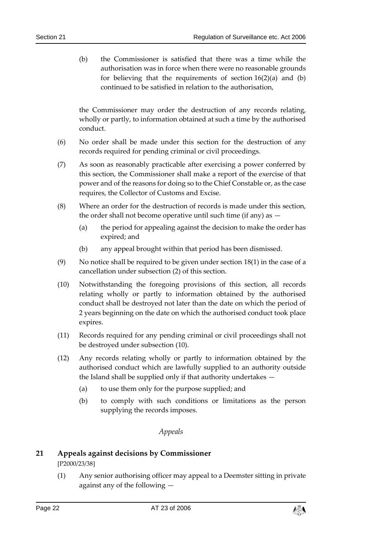(b) the Commissioner is satisfied that there was a time while the authorisation was in force when there were no reasonable grounds for believing that the requirements of section 16(2)(a) and (b) continued to be satisfied in relation to the authorisation,

the Commissioner may order the destruction of any records relating, wholly or partly, to information obtained at such a time by the authorised conduct.

- (6) No order shall be made under this section for the destruction of any records required for pending criminal or civil proceedings.
- (7) As soon as reasonably practicable after exercising a power conferred by this section, the Commissioner shall make a report of the exercise of that power and of the reasons for doing so to the Chief Constable or, as the case requires, the Collector of Customs and Excise.
- (8) Where an order for the destruction of records is made under this section, the order shall not become operative until such time (if any) as  $-$ 
	- (a) the period for appealing against the decision to make the order has expired; and
	- (b) any appeal brought within that period has been dismissed.
- (9) No notice shall be required to be given under section 18(1) in the case of a cancellation under subsection (2) of this section.
- (10) Notwithstanding the foregoing provisions of this section, all records relating wholly or partly to information obtained by the authorised conduct shall be destroyed not later than the date on which the period of 2 years beginning on the date on which the authorised conduct took place expires.
- (11) Records required for any pending criminal or civil proceedings shall not be destroyed under subsection (10).
- (12) Any records relating wholly or partly to information obtained by the authorised conduct which are lawfully supplied to an authority outside the Island shall be supplied only if that authority undertakes —
	- (a) to use them only for the purpose supplied; and
	- (b) to comply with such conditions or limitations as the person supplying the records imposes.

### *Appeals*

### <span id="page-21-1"></span><span id="page-21-0"></span>**21 Appeals against decisions by Commissioner**

[P2000/23/38]

(1) Any senior authorising officer may appeal to a Deemster sitting in private against any of the following —

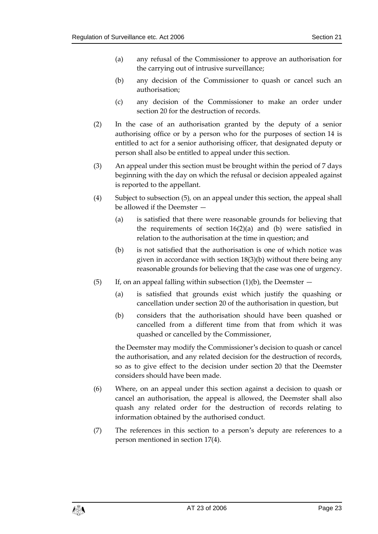- (a) any refusal of the Commissioner to approve an authorisation for the carrying out of intrusive surveillance;
- (b) any decision of the Commissioner to quash or cancel such an authorisation;
- (c) any decision of the Commissioner to make an order under section 20 for the destruction of records.
- (2) In the case of an authorisation granted by the deputy of a senior authorising office or by a person who for the purposes of section 14 is entitled to act for a senior authorising officer, that designated deputy or person shall also be entitled to appeal under this section.
- (3) An appeal under this section must be brought within the period of 7 days beginning with the day on which the refusal or decision appealed against is reported to the appellant.
- (4) Subject to subsection (5), on an appeal under this section, the appeal shall be allowed if the Deemster —
	- (a) is satisfied that there were reasonable grounds for believing that the requirements of section 16(2)(a) and (b) were satisfied in relation to the authorisation at the time in question; and
	- (b) is not satisfied that the authorisation is one of which notice was given in accordance with section 18(3)(b) without there being any reasonable grounds for believing that the case was one of urgency.
- (5) If, on an appeal falling within subsection  $(1)(b)$ , the Deemster  $-$ 
	- (a) is satisfied that grounds exist which justify the quashing or cancellation under section 20 of the authorisation in question, but
	- (b) considers that the authorisation should have been quashed or cancelled from a different time from that from which it was quashed or cancelled by the Commissioner,

the Deemster may modify the Commissioner's decision to quash or cancel the authorisation, and any related decision for the destruction of records, so as to give effect to the decision under section 20 that the Deemster considers should have been made.

- (6) Where, on an appeal under this section against a decision to quash or cancel an authorisation, the appeal is allowed, the Deemster shall also quash any related order for the destruction of records relating to information obtained by the authorised conduct.
- (7) The references in this section to a person's deputy are references to a person mentioned in section 17(4).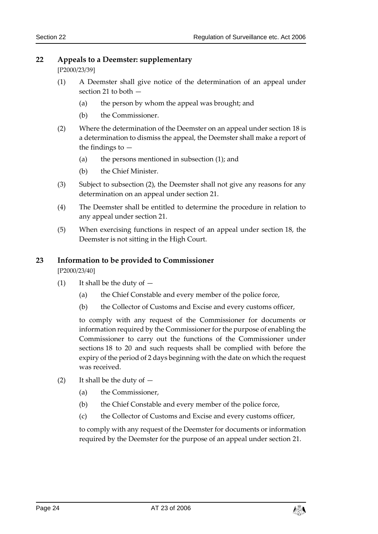### <span id="page-23-0"></span>**22 Appeals to a Deemster: supplementary**

[P2000/23/39]

- (1) A Deemster shall give notice of the determination of an appeal under section 21 to both -
	- (a) the person by whom the appeal was brought; and
	- (b) the Commissioner.
- (2) Where the determination of the Deemster on an appeal under section 18 is a determination to dismiss the appeal, the Deemster shall make a report of the findings to —
	- (a) the persons mentioned in subsection (1); and
	- (b) the Chief Minister.
- (3) Subject to subsection (2), the Deemster shall not give any reasons for any determination on an appeal under section 21.
- (4) The Deemster shall be entitled to determine the procedure in relation to any appeal under section 21.
- (5) When exercising functions in respect of an appeal under section 18, the Deemster is not sitting in the High Court.

### <span id="page-23-1"></span>**23 Information to be provided to Commissioner**

[P2000/23/40]

- (1) It shall be the duty of  $-$ 
	- (a) the Chief Constable and every member of the police force,
	- (b) the Collector of Customs and Excise and every customs officer,

to comply with any request of the Commissioner for documents or information required by the Commissioner for the purpose of enabling the Commissioner to carry out the functions of the Commissioner under sections 18 to 20 and such requests shall be complied with before the expiry of the period of 2 days beginning with the date on which the request was received.

- (2) It shall be the duty of  $-$ 
	- (a) the Commissioner,
	- (b) the Chief Constable and every member of the police force,
	- (c) the Collector of Customs and Excise and every customs officer,

to comply with any request of the Deemster for documents or information required by the Deemster for the purpose of an appeal under section 21.

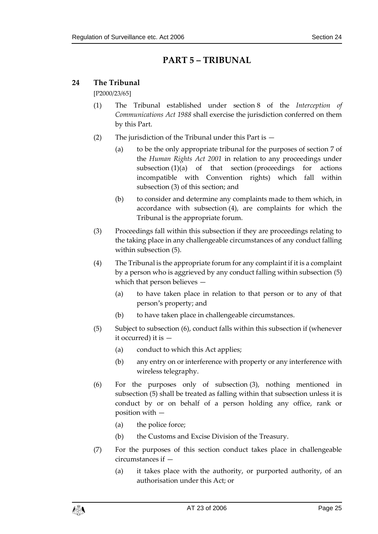### **PART 5 – TRIBUNAL**

### <span id="page-24-1"></span><span id="page-24-0"></span>**24 The Tribunal**

[P2000/23/65]

- (1) The Tribunal established under section 8 of the *Interception of Communications Act 1988* shall exercise the jurisdiction conferred on them by this Part.
- (2) The jurisdiction of the Tribunal under this Part is
	- (a) to be the only appropriate tribunal for the purposes of section 7 of the *Human Rights Act 2001* in relation to any proceedings under subsection  $(1)(a)$  of that section (proceedings for actions incompatible with Convention rights) which fall within subsection (3) of this section; and
	- (b) to consider and determine any complaints made to them which, in accordance with subsection (4), are complaints for which the Tribunal is the appropriate forum.
- (3) Proceedings fall within this subsection if they are proceedings relating to the taking place in any challengeable circumstances of any conduct falling within subsection (5).
- (4) The Tribunal is the appropriate forum for any complaint if it is a complaint by a person who is aggrieved by any conduct falling within subsection (5) which that person believes —
	- (a) to have taken place in relation to that person or to any of that person's property; and
	- (b) to have taken place in challengeable circumstances.
- (5) Subject to subsection (6), conduct falls within this subsection if (whenever it occurred) it is —
	- (a) conduct to which this Act applies;
	- (b) any entry on or interference with property or any interference with wireless telegraphy.
- (6) For the purposes only of subsection (3), nothing mentioned in subsection (5) shall be treated as falling within that subsection unless it is conduct by or on behalf of a person holding any office, rank or position with —
	- (a) the police force;
	- (b) the Customs and Excise Division of the Treasury.
- (7) For the purposes of this section conduct takes place in challengeable circumstances if —
	- (a) it takes place with the authority, or purported authority, of an authorisation under this Act; or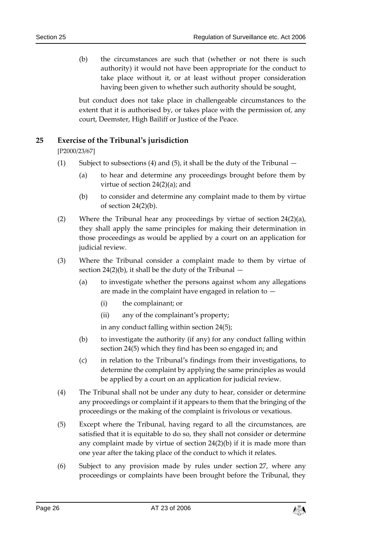(b) the circumstances are such that (whether or not there is such authority) it would not have been appropriate for the conduct to take place without it, or at least without proper consideration having been given to whether such authority should be sought,

but conduct does not take place in challengeable circumstances to the extent that it is authorised by, or takes place with the permission of, any court, Deemster, High Bailiff or Justice of the Peace.

### <span id="page-25-0"></span>**25 Exercise of the Tribunal's jurisdiction**

[P2000/23/67]

- (1) Subject to subsections (4) and (5), it shall be the duty of the Tribunal
	- (a) to hear and determine any proceedings brought before them by virtue of section 24(2)(a); and
	- (b) to consider and determine any complaint made to them by virtue of section  $24(2)(b)$ .
- (2) Where the Tribunal hear any proceedings by virtue of section 24(2)(a), they shall apply the same principles for making their determination in those proceedings as would be applied by a court on an application for judicial review.
- (3) Where the Tribunal consider a complaint made to them by virtue of section  $24(2)(b)$ , it shall be the duty of the Tribunal  $-$ 
	- (a) to investigate whether the persons against whom any allegations are made in the complaint have engaged in relation to —
		- (i) the complainant; or
		- (ii) any of the complainant's property;

in any conduct falling within section 24(5);

- (b) to investigate the authority (if any) for any conduct falling within section 24(5) which they find has been so engaged in; and
- (c) in relation to the Tribunal's findings from their investigations, to determine the complaint by applying the same principles as would be applied by a court on an application for judicial review.
- (4) The Tribunal shall not be under any duty to hear, consider or determine any proceedings or complaint if it appears to them that the bringing of the proceedings or the making of the complaint is frivolous or vexatious.
- (5) Except where the Tribunal, having regard to all the circumstances, are satisfied that it is equitable to do so, they shall not consider or determine any complaint made by virtue of section 24(2)(b) if it is made more than one year after the taking place of the conduct to which it relates.
- (6) Subject to any provision made by rules under section 27, where any proceedings or complaints have been brought before the Tribunal, they

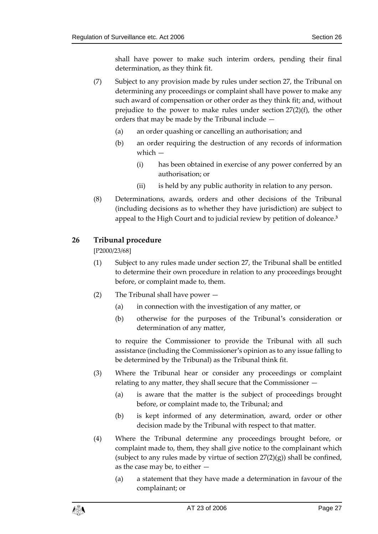shall have power to make such interim orders, pending their final determination, as they think fit.

- (7) Subject to any provision made by rules under section 27, the Tribunal on determining any proceedings or complaint shall have power to make any such award of compensation or other order as they think fit; and, without prejudice to the power to make rules under section 27(2)(f), the other orders that may be made by the Tribunal include —
	- (a) an order quashing or cancelling an authorisation; and
	- (b) an order requiring the destruction of any records of information which —
		- (i) has been obtained in exercise of any power conferred by an authorisation; or
		- (ii) is held by any public authority in relation to any person.
- (8) Determinations, awards, orders and other decisions of the Tribunal (including decisions as to whether they have jurisdiction) are subject to appeal to the High Court and to judicial review by petition of doleance.**<sup>3</sup>**

### <span id="page-26-0"></span>**26 Tribunal procedure**

[P2000/23/68]

- (1) Subject to any rules made under section 27, the Tribunal shall be entitled to determine their own procedure in relation to any proceedings brought before, or complaint made to, them.
- (2) The Tribunal shall have power
	- (a) in connection with the investigation of any matter, or
	- (b) otherwise for the purposes of the Tribunal's consideration or determination of any matter,

to require the Commissioner to provide the Tribunal with all such assistance (including the Commissioner's opinion as to any issue falling to be determined by the Tribunal) as the Tribunal think fit.

- (3) Where the Tribunal hear or consider any proceedings or complaint relating to any matter, they shall secure that the Commissioner —
	- (a) is aware that the matter is the subject of proceedings brought before, or complaint made to, the Tribunal; and
	- (b) is kept informed of any determination, award, order or other decision made by the Tribunal with respect to that matter.
- (4) Where the Tribunal determine any proceedings brought before, or complaint made to, them, they shall give notice to the complainant which (subject to any rules made by virtue of section  $27(2)(g)$ ) shall be confined, as the case may be, to either —
	- (a) a statement that they have made a determination in favour of the complainant; or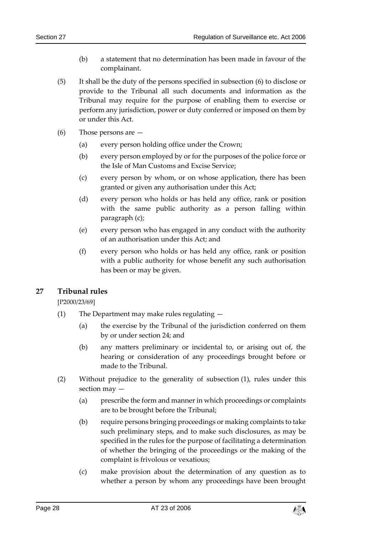- (b) a statement that no determination has been made in favour of the complainant.
- (5) It shall be the duty of the persons specified in subsection (6) to disclose or provide to the Tribunal all such documents and information as the Tribunal may require for the purpose of enabling them to exercise or perform any jurisdiction, power or duty conferred or imposed on them by or under this Act.
- (6) Those persons are
	- (a) every person holding office under the Crown;
	- (b) every person employed by or for the purposes of the police force or the Isle of Man Customs and Excise Service;
	- (c) every person by whom, or on whose application, there has been granted or given any authorisation under this Act;
	- (d) every person who holds or has held any office, rank or position with the same public authority as a person falling within paragraph (c);
	- (e) every person who has engaged in any conduct with the authority of an authorisation under this Act; and
	- (f) every person who holds or has held any office, rank or position with a public authority for whose benefit any such authorisation has been or may be given.

### <span id="page-27-0"></span>**27 Tribunal rules**

[P2000/23/69]

- (1) The Department may make rules regulating
	- (a) the exercise by the Tribunal of the jurisdiction conferred on them by or under section 24; and
	- (b) any matters preliminary or incidental to, or arising out of, the hearing or consideration of any proceedings brought before or made to the Tribunal.
- (2) Without prejudice to the generality of subsection (1), rules under this section may —
	- (a) prescribe the form and manner in which proceedings or complaints are to be brought before the Tribunal;
	- (b) require persons bringing proceedings or making complaints to take such preliminary steps, and to make such disclosures, as may be specified in the rules for the purpose of facilitating a determination of whether the bringing of the proceedings or the making of the complaint is frivolous or vexatious;
	- (c) make provision about the determination of any question as to whether a person by whom any proceedings have been brought

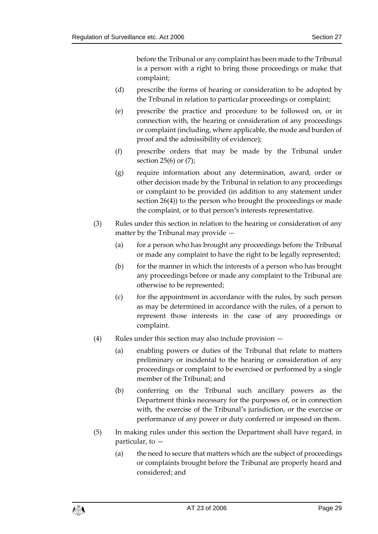before the Tribunal or any complaint has been made to the Tribunal is a person with a right to bring those proceedings or make that complaint;

- (d) prescribe the forms of hearing or consideration to be adopted by the Tribunal in relation to particular proceedings or complaint;
- (e) prescribe the practice and procedure to be followed on, or in connection with, the hearing or consideration of any proceedings or complaint (including, where applicable, the mode and burden of proof and the admissibility of evidence);
- (f) prescribe orders that may be made by the Tribunal under section 25(6) or (7);
- (g) require information about any determination, award, order or other decision made by the Tribunal in relation to any proceedings or complaint to be provided (in addition to any statement under section 26(4)) to the person who brought the proceedings or made the complaint, or to that person's interests representative.
- (3) Rules under this section in relation to the hearing or consideration of any matter by the Tribunal may provide —
	- (a) for a person who has brought any proceedings before the Tribunal or made any complaint to have the right to be legally represented;
	- (b) for the manner in which the interests of a person who has brought any proceedings before or made any complaint to the Tribunal are otherwise to be represented;
	- (c) for the appointment in accordance with the rules, by such person as may be determined in accordance with the rules, of a person to represent those interests in the case of any proceedings or complaint.
- (4) Rules under this section may also include provision
	- (a) enabling powers or duties of the Tribunal that relate to matters preliminary or incidental to the hearing or consideration of any proceedings or complaint to be exercised or performed by a single member of the Tribunal; and
	- (b) conferring on the Tribunal such ancillary powers as the Department thinks necessary for the purposes of, or in connection with, the exercise of the Tribunal's jurisdiction, or the exercise or performance of any power or duty conferred or imposed on them.
- (5) In making rules under this section the Department shall have regard, in particular, to —
	- (a) the need to secure that matters which are the subject of proceedings or complaints brought before the Tribunal are properly heard and considered; and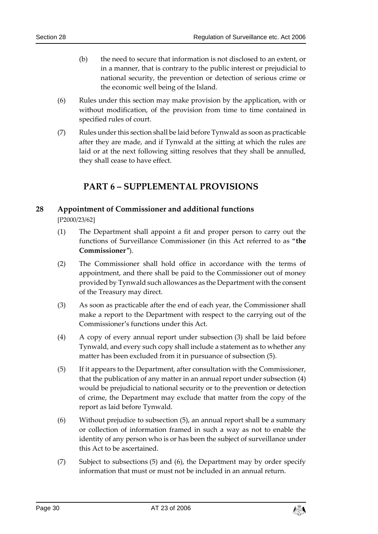- (b) the need to secure that information is not disclosed to an extent, or in a manner, that is contrary to the public interest or prejudicial to national security, the prevention or detection of serious crime or the economic well being of the Island.
- (6) Rules under this section may make provision by the application, with or without modification, of the provision from time to time contained in specified rules of court.
- (7) Rules under this section shall be laid before Tynwald as soon as practicable after they are made, and if Tynwald at the sitting at which the rules are laid or at the next following sitting resolves that they shall be annulled, they shall cease to have effect.

### **PART 6 – SUPPLEMENTAL PROVISIONS**

### <span id="page-29-1"></span><span id="page-29-0"></span>**28 Appointment of Commissioner and additional functions**

[P2000/23/62]

- (1) The Department shall appoint a fit and proper person to carry out the functions of Surveillance Commissioner (in this Act referred to as "**the Commissioner**").
- (2) The Commissioner shall hold office in accordance with the terms of appointment, and there shall be paid to the Commissioner out of money provided by Tynwald such allowances as the Department with the consent of the Treasury may direct.
- (3) As soon as practicable after the end of each year, the Commissioner shall make a report to the Department with respect to the carrying out of the Commissioner's functions under this Act.
- (4) A copy of every annual report under subsection (3) shall be laid before Tynwald, and every such copy shall include a statement as to whether any matter has been excluded from it in pursuance of subsection (5).
- (5) If it appears to the Department, after consultation with the Commissioner, that the publication of any matter in an annual report under subsection (4) would be prejudicial to national security or to the prevention or detection of crime, the Department may exclude that matter from the copy of the report as laid before Tynwald.
- (6) Without prejudice to subsection (5), an annual report shall be a summary or collection of information framed in such a way as not to enable the identity of any person who is or has been the subject of surveillance under this Act to be ascertained.
- (7) Subject to subsections (5) and (6), the Department may by order specify information that must or must not be included in an annual return.

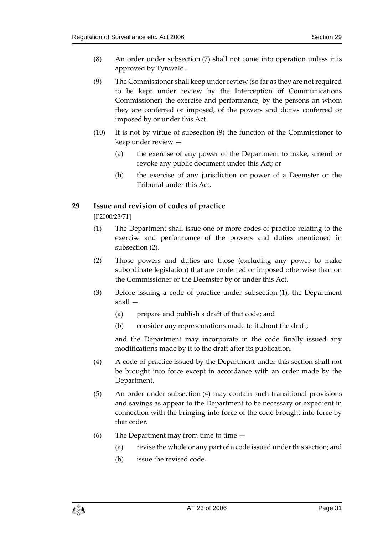- (8) An order under subsection (7) shall not come into operation unless it is approved by Tynwald.
- (9) The Commissioner shall keep under review (so far as they are not required to be kept under review by the Interception of Communications Commissioner) the exercise and performance, by the persons on whom they are conferred or imposed, of the powers and duties conferred or imposed by or under this Act.
- (10) It is not by virtue of subsection (9) the function of the Commissioner to keep under review —
	- (a) the exercise of any power of the Department to make, amend or revoke any public document under this Act; or
	- (b) the exercise of any jurisdiction or power of a Deemster or the Tribunal under this Act.

### <span id="page-30-0"></span>**29 Issue and revision of codes of practice**

[P2000/23/71]

- (1) The Department shall issue one or more codes of practice relating to the exercise and performance of the powers and duties mentioned in subsection (2).
- (2) Those powers and duties are those (excluding any power to make subordinate legislation) that are conferred or imposed otherwise than on the Commissioner or the Deemster by or under this Act.
- (3) Before issuing a code of practice under subsection (1), the Department shall —
	- (a) prepare and publish a draft of that code; and
	- (b) consider any representations made to it about the draft;

and the Department may incorporate in the code finally issued any modifications made by it to the draft after its publication.

- (4) A code of practice issued by the Department under this section shall not be brought into force except in accordance with an order made by the Department.
- (5) An order under subsection (4) may contain such transitional provisions and savings as appear to the Department to be necessary or expedient in connection with the bringing into force of the code brought into force by that order.
- (6) The Department may from time to time  $-$ 
	- (a) revise the whole or any part of a code issued under this section; and
	- (b) issue the revised code.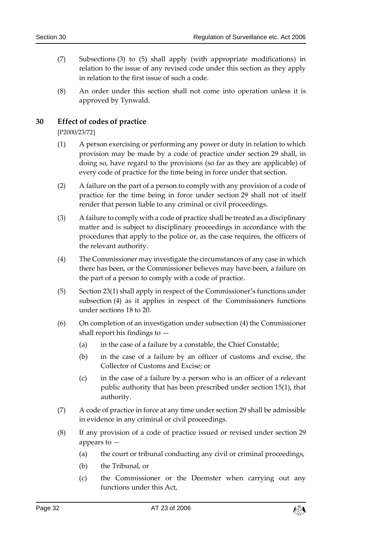- (7) Subsections (3) to (5) shall apply (with appropriate modifications) in relation to the issue of any revised code under this section as they apply in relation to the first issue of such a code.
- (8) An order under this section shall not come into operation unless it is approved by Tynwald.

### <span id="page-31-0"></span>**30 Effect of codes of practice**

[P2000/23/72]

- (1) A person exercising or performing any power or duty in relation to which provision may be made by a code of practice under section 29 shall, in doing so, have regard to the provisions (so far as they are applicable) of every code of practice for the time being in force under that section.
- (2) A failure on the part of a person to comply with any provision of a code of practice for the time being in force under section 29 shall not of itself render that person liable to any criminal or civil proceedings.
- (3) A failure to comply with a code of practice shall be treated as a disciplinary matter and is subject to disciplinary proceedings in accordance with the procedures that apply to the police or, as the case requires, the officers of the relevant authority.
- (4) The Commissioner may investigate the circumstances of any case in which there has been, or the Commissioner believes may have been, a failure on the part of a person to comply with a code of practice.
- (5) Section 23(1) shall apply in respect of the Commissioner's functions under subsection (4) as it applies in respect of the Commissioners functions under sections 18 to 20.
- (6) On completion of an investigation under subsection (4) the Commissioner shall report his findings to —
	- (a) in the case of a failure by a constable, the Chief Constable;
	- (b) in the case of a failure by an officer of customs and excise, the Collector of Customs and Excise; or
	- (c) in the case of a failure by a person who is an officer of a relevant public authority that has been prescribed under section 15(1), that authority.
- (7) A code of practice in force at any time under section 29 shall be admissible in evidence in any criminal or civil proceedings.
- (8) If any provision of a code of practice issued or revised under section 29 appears to —
	- (a) the court or tribunal conducting any civil or criminal proceedings,
	- (b) the Tribunal, or
	- (c) the Commissioner or the Deemster when carrying out any functions under this Act,

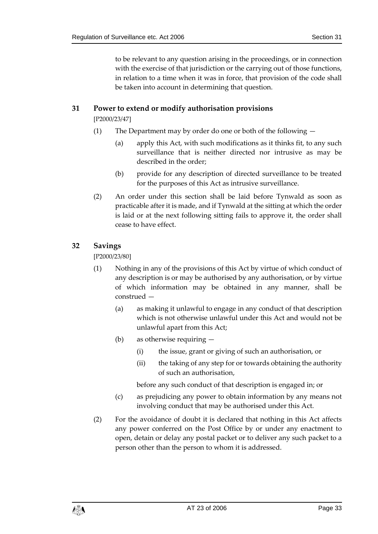to be relevant to any question arising in the proceedings, or in connection with the exercise of that jurisdiction or the carrying out of those functions, in relation to a time when it was in force, that provision of the code shall be taken into account in determining that question.

### <span id="page-32-0"></span>**31 Power to extend or modify authorisation provisions**

[P2000/23/47]

- (1) The Department may by order do one or both of the following
	- (a) apply this Act, with such modifications as it thinks fit, to any such surveillance that is neither directed nor intrusive as may be described in the order;
	- (b) provide for any description of directed surveillance to be treated for the purposes of this Act as intrusive surveillance.
- (2) An order under this section shall be laid before Tynwald as soon as practicable after it is made, and if Tynwald at the sitting at which the order is laid or at the next following sitting fails to approve it, the order shall cease to have effect.

#### <span id="page-32-1"></span>**32 Savings**

[P2000/23/80]

- (1) Nothing in any of the provisions of this Act by virtue of which conduct of any description is or may be authorised by any authorisation, or by virtue of which information may be obtained in any manner, shall be construed —
	- (a) as making it unlawful to engage in any conduct of that description which is not otherwise unlawful under this Act and would not be unlawful apart from this Act;
	- (b) as otherwise requiring
		- (i) the issue, grant or giving of such an authorisation, or
		- (ii) the taking of any step for or towards obtaining the authority of such an authorisation,

before any such conduct of that description is engaged in; or

- (c) as prejudicing any power to obtain information by any means not involving conduct that may be authorised under this Act.
- (2) For the avoidance of doubt it is declared that nothing in this Act affects any power conferred on the Post Office by or under any enactment to open, detain or delay any postal packet or to deliver any such packet to a person other than the person to whom it is addressed.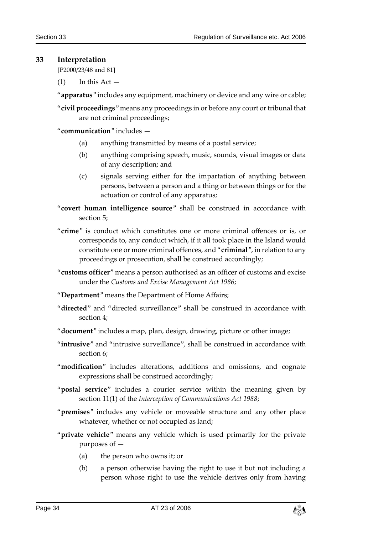#### <span id="page-33-0"></span>**33 Interpretation**

[P2000/23/48 and 81]

 $(1)$  In this Act —

"**apparatus**" includes any equipment, machinery or device and any wire or cable;

"**civil proceedings**" means any proceedings in or before any court or tribunal that are not criminal proceedings;

"**communication**" includes —

- (a) anything transmitted by means of a postal service;
- (b) anything comprising speech, music, sounds, visual images or data of any description; and
- (c) signals serving either for the impartation of anything between persons, between a person and a thing or between things or for the actuation or control of any apparatus;
- "**covert human intelligence source**" shall be construed in accordance with section 5;
- "**crime**" is conduct which constitutes one or more criminal offences or is, or corresponds to, any conduct which, if it all took place in the Island would constitute one or more criminal offences, and "**criminal**", in relation to any proceedings or prosecution, shall be construed accordingly;
- "**customs officer**" means a person authorised as an officer of customs and excise under the *Customs and Excise Management Act 1986*;
- "**Department**" means the Department of Home Affairs;
- "**directed**" and "directed surveillance" shall be construed in accordance with section 4;
- "**document**" includes a map, plan, design, drawing, picture or other image;
- "intrusive" and "intrusive surveillance", shall be construed in accordance with section 6;
- "**modification**" includes alterations, additions and omissions, and cognate expressions shall be construed accordingly;
- "**postal service**" includes a courier service within the meaning given by section 11(1) of the *Interception of Communications Act 1988*;
- "**premises**" includes any vehicle or moveable structure and any other place whatever, whether or not occupied as land;
- "**private vehicle**" means any vehicle which is used primarily for the private purposes of —
	- (a) the person who owns it; or
	- (b) a person otherwise having the right to use it but not including a person whose right to use the vehicle derives only from having

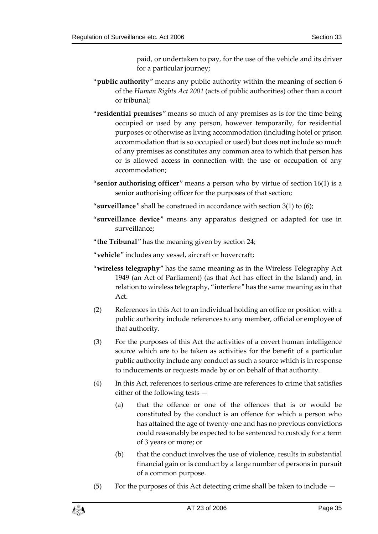paid, or undertaken to pay, for the use of the vehicle and its driver for a particular journey;

- "**public authority**" means any public authority within the meaning of section 6 of the *Human Rights Act 2001* (acts of public authorities) other than a court or tribunal;
- "**residential premises**" means so much of any premises as is for the time being occupied or used by any person, however temporarily, for residential purposes or otherwise as living accommodation (including hotel or prison accommodation that is so occupied or used) but does not include so much of any premises as constitutes any common area to which that person has or is allowed access in connection with the use or occupation of any accommodation;
- "**senior authorising officer**" means a person who by virtue of section 16(1) is a senior authorising officer for the purposes of that section;
- "**surveillance**" shall be construed in accordance with section 3(1) to (6);
- "**surveillance device**" means any apparatus designed or adapted for use in surveillance;
- "**the Tribunal**" has the meaning given by section 24;
- "**vehicle**" includes any vessel, aircraft or hovercraft;
- "**wireless telegraphy**" has the same meaning as in the Wireless Telegraphy Act 1949 (an Act of Parliament) (as that Act has effect in the Island) and, in relation to wireless telegraphy, "interfere" has the same meaning as in that Act.
- (2) References in this Act to an individual holding an office or position with a public authority include references to any member, official or employee of that authority.
- (3) For the purposes of this Act the activities of a covert human intelligence source which are to be taken as activities for the benefit of a particular public authority include any conduct as such a source which is in response to inducements or requests made by or on behalf of that authority.
- (4) In this Act, references to serious crime are references to crime that satisfies either of the following tests —
	- (a) that the offence or one of the offences that is or would be constituted by the conduct is an offence for which a person who has attained the age of twenty-one and has no previous convictions could reasonably be expected to be sentenced to custody for a term of 3 years or more; or
	- (b) that the conduct involves the use of violence, results in substantial financial gain or is conduct by a large number of persons in pursuit of a common purpose.
- (5) For the purposes of this Act detecting crime shall be taken to include —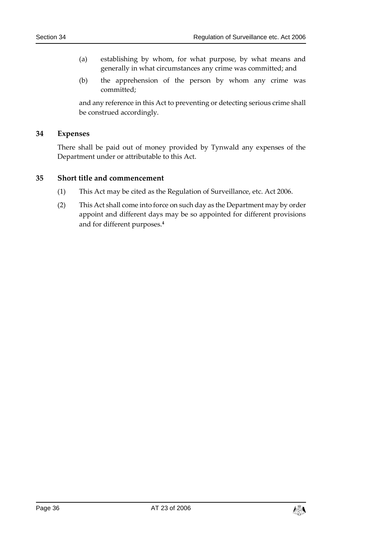- (a) establishing by whom, for what purpose, by what means and generally in what circumstances any crime was committed; and
- (b) the apprehension of the person by whom any crime was committed;

and any reference in this Act to preventing or detecting serious crime shall be construed accordingly.

#### <span id="page-35-0"></span>**34 Expenses**

There shall be paid out of money provided by Tynwald any expenses of the Department under or attributable to this Act.

#### <span id="page-35-1"></span>**35 Short title and commencement**

- (1) This Act may be cited as the Regulation of Surveillance, etc. Act 2006.
- (2) This Act shall come into force on such day as the Department may by order appoint and different days may be so appointed for different provisions and for different purposes.**4**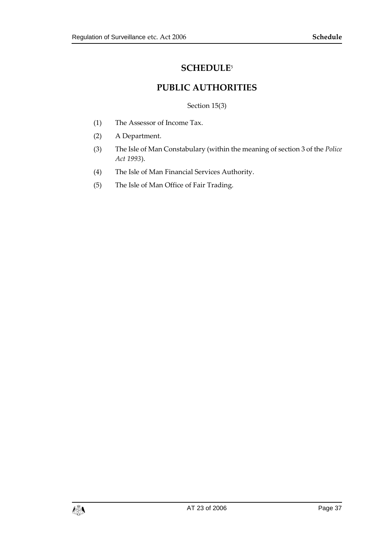### **SCHEDULE**<sup>5</sup>

### **PUBLIC AUTHORITIES**

Section 15(3)

- <span id="page-36-1"></span><span id="page-36-0"></span>(1) The Assessor of Income Tax.
- (2) A Department.
- (3) The Isle of Man Constabulary (within the meaning of section 3 of the *Police Act 1993*).
- (4) The Isle of Man Financial Services Authority.
- (5) The Isle of Man Office of Fair Trading.